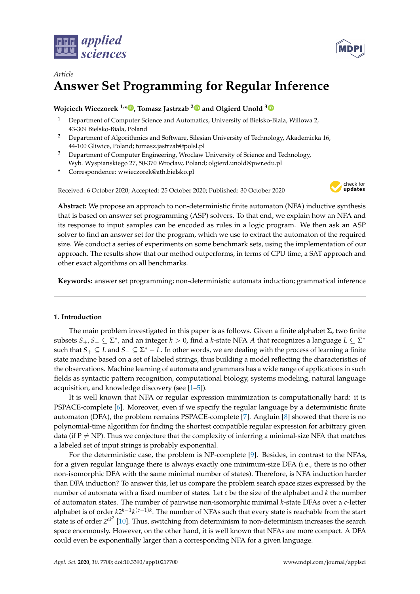



# *Article* **Answer Set Programming for Regular Inference**

# **Wojciech Wieczorek 1,\* [,](https://orcid.org/0000-0003-3191-9151) Tomasz Jastrzab [2](https://orcid.org/0000-0002-7854-9058) and Olgierd Unold [3](https://orcid.org/0000-0003-4722-176X)**

- <sup>1</sup> Department of Computer Science and Automatics, University of Bielsko-Biala, Willowa 2, 43-309 Bielsko-Biala, Poland
- <sup>2</sup> Department of Algorithmics and Software, Silesian University of Technology, Akademicka 16, 44-100 Gliwice, Poland; tomasz.jastrzab@polsl.pl
- <sup>3</sup> Department of Computer Engineering, Wroclaw University of Science and Technology, Wyb. Wyspianskiego 27, 50-370 Wroclaw, Poland; olgierd.unold@pwr.edu.pl
- **\*** Correspondence: wwieczorek@ath.bielsko.pl

Received: 6 October 2020; Accepted: 25 October 2020; Published: 30 October 2020



**Abstract:** We propose an approach to non-deterministic finite automaton (NFA) inductive synthesis that is based on answer set programming (ASP) solvers. To that end, we explain how an NFA and its response to input samples can be encoded as rules in a logic program. We then ask an ASP solver to find an answer set for the program, which we use to extract the automaton of the required size. We conduct a series of experiments on some benchmark sets, using the implementation of our approach. The results show that our method outperforms, in terms of CPU time, a SAT approach and other exact algorithms on all benchmarks.

**Keywords:** answer set programming; non-deterministic automata induction; grammatical inference

## **1. Introduction**

The main problem investigated in this paper is as follows. Given a finite alphabet  $\Sigma$ , two finite subsets  $S_+, S_- \subseteq \Sigma^*$ , and an integer  $k > 0$ , find a *k*-state NFA A that recognizes a language  $L \subseteq \Sigma^*$ such that *S*<sup>+</sup> ⊆ *L* and *S*<sup>−</sup> ⊆ Σ <sup>∗</sup> − *L*. In other words, we are dealing with the process of learning a finite state machine based on a set of labeled strings, thus building a model reflecting the characteristics of the observations. Machine learning of automata and grammars has a wide range of applications in such fields as syntactic pattern recognition, computational biology, systems modeling, natural language acquisition, and knowledge discovery (see [\[1](#page-16-0)[–5\]](#page-16-1)).

It is well known that NFA or regular expression minimization is computationally hard: it is PSPACE-complete [\[6\]](#page-16-2). Moreover, even if we specify the regular language by a deterministic finite automaton (DFA), the problem remains PSPACE-complete [\[7\]](#page-16-3). Angluin [\[8\]](#page-16-4) showed that there is no polynomial-time algorithm for finding the shortest compatible regular expression for arbitrary given data (if  $P \neq NP$ ). Thus we conjecture that the complexity of inferring a minimal-size NFA that matches a labeled set of input strings is probably exponential.

For the deterministic case, the problem is NP-complete [\[9\]](#page-16-5). Besides, in contrast to the NFAs, for a given regular language there is always exactly one minimum-size DFA (i.e., there is no other non-isomorphic DFA with the same minimal number of states). Therefore, is NFA induction harder than DFA induction? To answer this, let us compare the problem search space sizes expressed by the number of automata with a fixed number of states. Let *c* be the size of the alphabet and *k* the number of automaton states. The number of pairwise non-isomorphic minimal *k*-state DFAs over a *c*-letter alphabet is of order *k*2<sup>*k*−1</sup>*k*<sup>(*c*−1)*k*</sup>. The number of NFAs such that every state is reachable from the start state is of order 2<sup>ck<sup>2</sup></sup> [\[10\]](#page-16-6). Thus, switching from determinism to non-determinism increases the search space enormously. However, on the other hand, it is well known that NFAs are more compact. A DFA could even be exponentially larger than a corresponding NFA for a given language.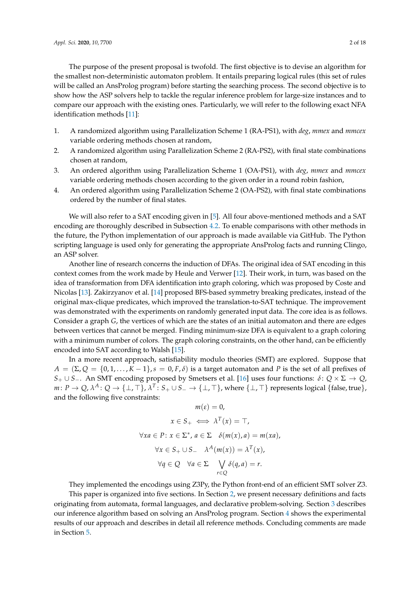The purpose of the present proposal is twofold. The first objective is to devise an algorithm for the smallest non-deterministic automaton problem. It entails preparing logical rules (this set of rules will be called an AnsProlog program) before starting the searching process. The second objective is to show how the ASP solvers help to tackle the regular inference problem for large-size instances and to compare our approach with the existing ones. Particularly, we will refer to the following exact NFA identification methods [\[11\]](#page-16-7):

- 1. A randomized algorithm using Parallelization Scheme 1 (RA-PS1), with *deg*, *mmex* and *mmcex* variable ordering methods chosen at random,
- 2. A randomized algorithm using Parallelization Scheme 2 (RA-PS2), with final state combinations chosen at random,
- 3. An ordered algorithm using Parallelization Scheme 1 (OA-PS1), with *deg*, *mmex* and *mmcex* variable ordering methods chosen according to the given order in a round robin fashion,
- 4. An ordered algorithm using Parallelization Scheme 2 (OA-PS2), with final state combinations ordered by the number of final states.

We will also refer to a SAT encoding given in [\[5\]](#page-16-1). All four above-mentioned methods and a SAT encoding are thoroughly described in Subsection [4.2.](#page-8-0) To enable comparisons with other methods in the future, the Python implementation of our approach is made available via GitHub. The Python scripting language is used only for generating the appropriate AnsProlog facts and running Clingo, an ASP solver.

Another line of research concerns the induction of DFAs. The original idea of SAT encoding in this context comes from the work made by Heule and Verwer [\[12\]](#page-16-8). Their work, in turn, was based on the idea of transformation from DFA identification into graph coloring, which was proposed by Coste and Nicolas [\[13\]](#page-16-9). Zakirzyanov et al. [\[14\]](#page-16-10) proposed BFS-based symmetry breaking predicates, instead of the original max-clique predicates, which improved the translation-to-SAT technique. The improvement was demonstrated with the experiments on randomly generated input data. The core idea is as follows. Consider a graph *G*, the vertices of which are the states of an initial automaton and there are edges between vertices that cannot be merged. Finding minimum-size DFA is equivalent to a graph coloring with a minimum number of colors. The graph coloring constraints, on the other hand, can be efficiently encoded into SAT according to Walsh [\[15\]](#page-16-11).

In a more recent approach, satisfiability modulo theories (SMT) are explored. Suppose that  $A = (\Sigma, Q = \{0, 1, \ldots, K - 1\}, s = 0, F, \delta)$  is a target automaton and *P* is the set of all prefixes of *S*<sub>+</sub> ∪ *S*<sub>−</sub>. An SMT encoding proposed by Smetsers et al. [\[16\]](#page-16-12) uses four functions: *δ* : *Q* × Σ → *Q*,  $m\colon P\to Q$ ,  $\lambda^A\colon Q\to \{\bot,\top\}$ ,  $\lambda^T\colon S_+\cup S_-\to \{\bot,\top\}$ , where  $\{\bot,\top\}$  represents logical {false, true}, and the following five constraints:

$$
m(\varepsilon) = 0,
$$
  
\n
$$
x \in S_+ \iff \lambda^T(x) = \top,
$$
  
\n
$$
\forall xa \in P: x \in \Sigma^*, a \in \Sigma \quad \delta(m(x), a) = m(xa),
$$
  
\n
$$
\forall x \in S_+ \cup S_- \quad \lambda^A(m(x)) = \lambda^T(x),
$$
  
\n
$$
\forall q \in Q \quad \forall a \in \Sigma \quad \bigvee_{r \in Q} \delta(q, a) = r.
$$

They implemented the encodings using Z3Py, the Python front-end of an efficient SMT solver Z3. This paper is organized into five sections. In Section [2,](#page-2-0) we present necessary definitions and facts originating from automata, formal languages, and declarative problem-solving. Section [3](#page-4-0) describes our inference algorithm based on solving an AnsProlog program. Section [4](#page-6-0) shows the experimental results of our approach and describes in detail all reference methods. Concluding comments are made in Section [5.](#page-12-0)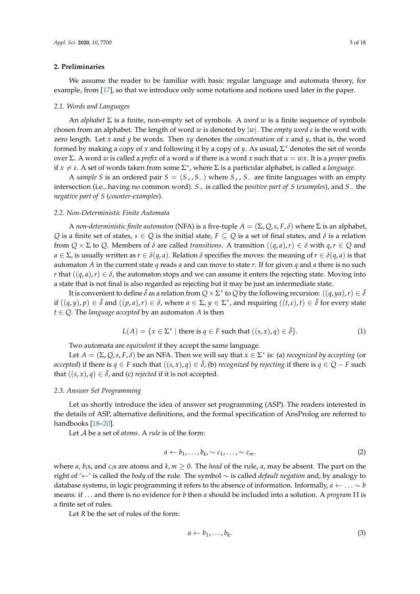#### <span id="page-2-0"></span>**2. Preliminaries**

We assume the reader to be familiar with basic regular language and automata theory, for example, from [\[17\]](#page-16-13), so that we introduce only some notations and notions used later in the paper.

#### *2.1. Words and Languages*

An *alphabet* Σ is a finite, non-empty set of symbols. A *word w* is a finite sequence of symbols chosen from an alphabet. The length of word *w* is denoted by |*w*|. The *empty word ε* is the word with zero length. Let *x* and *y* be words. Then *xy* denotes the *concatenation* of *x* and *y*, that is, the word formed by making a copy of *x* and following it by a copy of *y*. As usual, Σ <sup>∗</sup> denotes the set of words over Σ. A word *w* is called a *prefix* of a word *u* if there is a word *x* such that *u* = *wx*. It is a *proper* prefix if  $x \neq \varepsilon$ . A set of words taken from some  $\Sigma^*$ , where  $\Sigma$  is a particular alphabet, is called a *language*.

A *sample S* is an ordered pair *S* = (*S*+, *S*−) where *S*+, *S*− are finite languages with an empty intersection (i.e., having no common word). *S*+ is called the *positive part of S* (*examples*), and *S*− the *negative part of S* (*counter-examples*).

#### *2.2. Non-Deterministic Finite Automata*

A *non-deterministic finite automaton* (NFA) is a five-tuple  $A = (\Sigma, Q, s, F, \delta)$  where  $\Sigma$  is an alphabet, *Q* is a finite set of states,  $s \in Q$  is the initial state,  $F \subseteq Q$  is a set of final states, and  $\delta$  is a relation from  $Q \times \Sigma$  to  $Q$ . Members of  $\delta$  are called *transitions*. A transition  $((q, a), r) \in \delta$  with  $q, r \in Q$  and *a* ∈ Σ, is usually written as *r* ∈  $\delta(q, a)$ . Relation  $\delta$  specifies the moves: the meaning of *r* ∈  $\delta(q, a)$  is that automaton *A* in the current state *q* reads *a* and can move to state *r*. If for given *q* and *a* there is no such *r* that  $((q, a), r) \in \delta$ , the automaton stops and we can assume it enters the rejecting state. Moving into a state that is not final is also regarded as rejecting but it may be just an intermediate state.

It is convenient to define  $\bar{\delta}$  as a relation from  $Q\times \Sigma^*$  to  $Q$  by the following recursion:  $((q,ya),r)\in \bar{\delta}$ if  $((q, y), p) \in \overline{\delta}$  and  $((p, a), r) \in \delta$ , where  $a \in \Sigma$ ,  $y \in \Sigma^*$ , and requiring  $((t, \varepsilon), t) \in \overline{\delta}$  for every state  $t \in Q$ . The *language accepted* by an automaton *A* is then

$$
L(A) = \{x \in \Sigma^* \mid \text{there is } q \in F \text{ such that } ((s, x), q) \in \overline{\delta}\}. \tag{1}
$$

Two automata are *equivalent* if they accept the same language.

Let  $A = (\Sigma, Q, s, F, \delta)$  be an NFA. Then we will say that  $x \in \Sigma^*$  is: (a) *recognized by accepting* (or *accepted*) if there is *q* ∈ *F* such that  $((s, x), q) \in \bar{\delta}$ , (b) *recognized by rejecting* if there is *q* ∈ *Q* − *F* such that  $((s, x), q) \in \overline{\delta}$ , and (c) *rejected* if it is not accepted.

### <span id="page-2-1"></span>*2.3. Answer Set Programming*

Let us shortly introduce the idea of answer set programming (ASP). The readers interested in the details of ASP, alternative definitions, and the formal specification of AnsProlog are referred to handbooks [\[18](#page-16-14)[–20\]](#page-17-0).

Let A be a set of *atoms*. A *rule* is of the form:

$$
a \leftarrow b_1, \ldots, b_k \sim c_1, \ldots, \sim c_m. \tag{2}
$$

where *a*, *b*<sub>i</sub>s, and *c*<sub>i</sub>s are atoms and  $k, m \ge 0$ . The *head* of the rule, *a*, may be absent. The part on the right of '←' is called the *body* of the rule. The symbol ∼ is called *default negation* and, by analogy to database systems, in logic programming it refers to the absence of information. Informally,  $a \leftarrow \ldots \sim b$ means: if . . . and there is no evidence for *b* then *a* should be included into a solution. A *program* Π is a finite set of rules.

Let *R* be the set of rules of the form: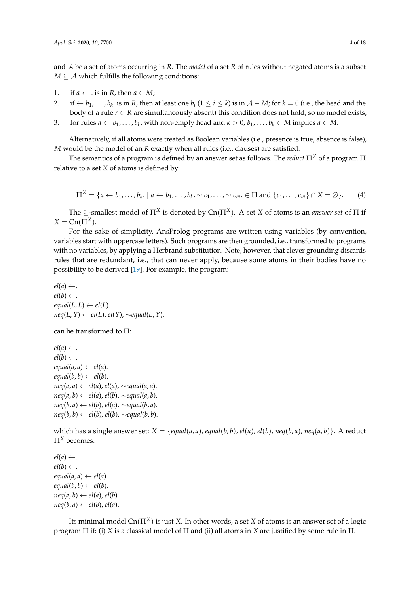and A be a set of atoms occurring in *R*. The *model* of a set *R* of rules without negated atoms is a subset *M*  $\subseteq$  *A* which fulfills the following conditions:

- 1. if  $a \leftarrow$  . is in *R*, then  $a \in M$ ;
- 2. if  $\leftarrow b_1, \ldots, b_k$  is in R, then at least one  $b_i$  ( $1 \le i \le k$ ) is in  $\mathcal{A} M$ ; for  $k = 0$  (i.e., the head and the body of a rule  $r \in R$  are simultaneously absent) this condition does not hold, so no model exists;
- 3. for rules  $a \leftarrow b_1, \ldots, b_k$  with non-empty head and  $k > 0, b_1, \ldots, b_k \in M$  implies  $a \in M$ .

Alternatively, if all atoms were treated as Boolean variables (i.e., presence is true, absence is false), *M* would be the model of an *R* exactly when all rules (i.e., clauses) are satisfied.

The semantics of a program is defined by an answer set as follows. The *reduct* Π*<sup>X</sup>* of a program Π relative to a set *X* of atoms is defined by

$$
\Pi^X = \{a \leftarrow b_1, \ldots, b_k, \mid a \leftarrow b_1, \ldots, b_k, \sim c_1, \ldots, \sim c_m \in \Pi \text{ and } \{c_1, \ldots, c_m\} \cap X = \emptyset\}.
$$
 (4)

The  $\subseteq$ -smallest model of  $\Pi^X$  is denoted by  $Cn(\Pi^X)$ . A set *X* of atoms is an *answer set* of  $\Pi$  if  $X = \text{Cn}(\Pi^X).$ 

For the sake of simplicity, AnsProlog programs are written using variables (by convention, variables start with uppercase letters). Such programs are then grounded, i.e., transformed to programs with no variables, by applying a Herbrand substitution. Note, however, that clever grounding discards rules that are redundant, i.e., that can never apply, because some atoms in their bodies have no possibility to be derived [\[19\]](#page-16-15). For example, the program:

 $ell(a) \leftarrow$ .  $ell(b) \leftarrow$ .  $equal(L, L) \leftarrow el(L).$ *neq*( $L$ ,  $Y$ ) ←  $el(L)$ ,  $el(Y)$ , ∼*equal*( $L$ ,  $Y$ ).

can be transformed to Π:

 $ell(a) \leftarrow$ .  $ell(b) \leftarrow$ .  $equal(a, a) \leftarrow el(a).$  $equal(b, b) \leftarrow el(b).$ *neq*(*a*, *a*) ← *el*(*a*), *el*(*a*), ∼*equal*(*a*, *a*). *neq*(*a*, *b*) ← *el*(*a*), *el*(*b*), ∼*equal*(*a*, *b*). *neq*(*b*, *a*) ← *el*(*b*), *el*(*a*), ∼*equal*(*b*, *a*). *neq*(*b*, *b*) ← *el*(*b*), *el*(*b*), ∼*equal*(*b*, *b*).

which has a single answer set:  $X = \{equal(a,a), equal(b,b), el(a), el(b), neg(b,a), neg(a,b)\}.$  A reduct Π*<sup>X</sup>* becomes:

 $ell(a) \leftarrow$ .  $ell(b) \leftarrow$ .  $equal(a, a) \leftarrow el(a).$  $equal(b, b) \leftarrow el(b).$  $neq(a, b) \leftarrow el(a), el(b).$  $neq(b, a) \leftarrow el(b), el(a).$ 

Its minimal model  $Cn(\Pi^X)$  is just *X*. In other words, a set *X* of atoms is an answer set of a logic program Π if: (i) *X* is a classical model of Π and (ii) all atoms in *X* are justified by some rule in Π.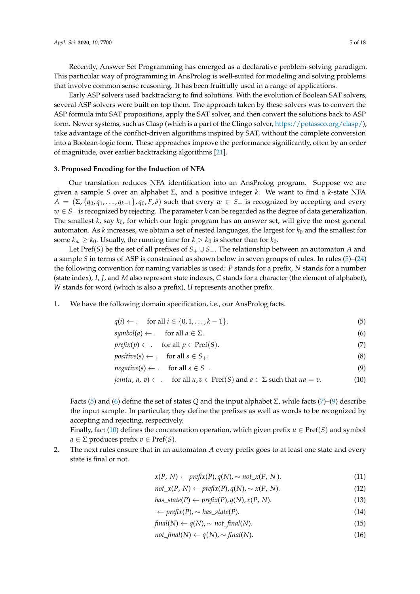Recently, Answer Set Programming has emerged as a declarative problem-solving paradigm. This particular way of programming in AnsProlog is well-suited for modeling and solving problems that involve common sense reasoning. It has been fruitfully used in a range of applications.

Early ASP solvers used backtracking to find solutions. With the evolution of Boolean SAT solvers, several ASP solvers were built on top them. The approach taken by these solvers was to convert the ASP formula into SAT propositions, apply the SAT solver, and then convert the solutions back to ASP form. Newer systems, such as Clasp (which is a part of the Clingo solver, [https://potassco.org/clasp/\)](https://potassco.org/clasp/), take advantage of the conflict-driven algorithms inspired by SAT, without the complete conversion into a Boolean-logic form. These approaches improve the performance significantly, often by an order of magnitude, over earlier backtracking algorithms [\[21\]](#page-17-1).

## <span id="page-4-0"></span>**3. Proposed Encoding for the Induction of NFA**

Our translation reduces NFA identification into an AnsProlog program. Suppose we are given a sample *S* over an alphabet Σ, and a positive integer *k*. We want to find a *k*-state NFA  $A = (\Sigma, \{q_0, q_1, \ldots, q_{k-1}\}, q_0, F, \delta)$  such that every  $w \in S_+$  is recognized by accepting and every *w* ∈ *S*<sup>−</sup> is recognized by rejecting. The parameter *k* can be regarded as the degree of data generalization. The smallest *k*, say *k*0, for which our logic program has an answer set, will give the most general automaton. As *k* increases, we obtain a set of nested languages, the largest for *k*<sup>0</sup> and the smallest for some  $k_m \geq k_0$ . Usually, the running time for  $k > k_0$  is shorter than for  $k_0$ .

Let Pref(*S*) be the set of all prefixes of *S*<sup>+</sup> ∪ *S*−. The relationship between an automaton *A* and a sample *S* in terms of ASP is constrained as shown below in seven groups of rules. In rules [\(5\)](#page-4-1)–[\(24\)](#page-5-0) the following convention for naming variables is used: *P* stands for a prefix, *N* stands for a number (state index), *I*, *J*, and *M* also represent state indexes, *C* stands for a character (the element of alphabet), *W* stands for word (which is also a prefix), *U* represents another prefix.

1. We have the following domain specification, i.e., our AnsProlog facts.

<span id="page-4-2"></span><span id="page-4-1"></span>
$$
q(i) \leftarrow . \quad \text{for all } i \in \{0, 1, \dots, k-1\}.
$$

 $symbol(a) \leftarrow$  . for all  $a \in \Sigma$ . (6)

$$
prefix(p) \leftarrow . \quad \text{for all } p \in Pref(S). \tag{7}
$$

<span id="page-4-3"></span> $positive(s) \leftarrow .$  for all  $s \in S_+$ . (8)

$$
negative(s) \leftarrow . \quad \text{for all } s \in S_-.
$$
 (9)

$$
join(u, a, v) \leftarrow
$$
. for all  $u, v \in Pref(S)$  and  $a \in \Sigma$  such that  $ua = v$ . (10)

Facts [\(5\)](#page-4-1) and [\(6\)](#page-4-2) define the set of states *Q* and the input alphabet Σ, while facts [\(7\)](#page-4-3)–[\(9\)](#page-4-4) describe the input sample. In particular, they define the prefixes as well as words to be recognized by accepting and rejecting, respectively.

Finally, fact [\(10\)](#page-4-5) defines the concatenation operation, which given prefix  $u \in \text{Pref}(S)$  and symbol  $a \in \Sigma$  produces prefix  $v \in \text{Pref}(S)$ .

2. The next rules ensure that in an automaton *A* every prefix goes to at least one state and every state is final or not.

<span id="page-4-7"></span><span id="page-4-6"></span><span id="page-4-5"></span><span id="page-4-4"></span>
$$
x(P, N) \leftarrow prefix(P), q(N), \sim not\_x(P, N). \tag{11}
$$

$$
not_x(P, N) \leftarrow prefix(P), q(N), \sim x(P, N). \tag{12}
$$

 $has\_state(P) \leftarrow prefix(P), q(N), x(P, N).$  (13)

<span id="page-4-11"></span><span id="page-4-10"></span><span id="page-4-9"></span><span id="page-4-8"></span>
$$
\leftarrow prefix(P), \sim has\_state(P). \tag{14}
$$

$$
final(N) \leftarrow q(N), \sim not\_final(N). \tag{15}
$$

$$
not\_final(N) \leftarrow q(N), \sim final(N). \tag{16}
$$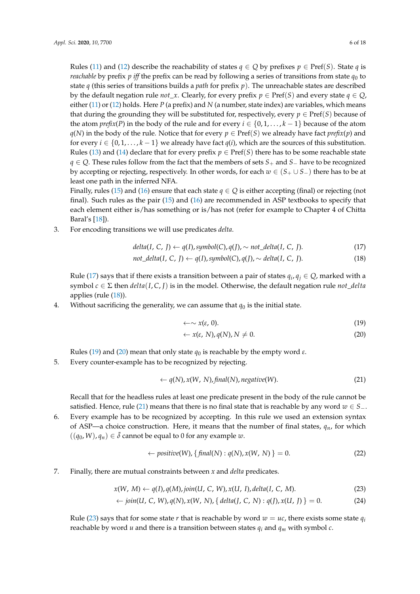Rules [\(11\)](#page-4-6) and [\(12\)](#page-4-7) describe the reachability of states  $q \in Q$  by prefixes  $p \in \text{Pref}(S)$ . State *q* is *reachable* by prefix *p iff* the prefix can be read by following a series of transitions from state  $q_0$  to state *q* (this series of transitions builds a *path* for prefix *p*). The unreachable states are described by the default negation rule *not\_x*. Clearly, for every prefix  $p \in Pref(S)$  and every state  $q \in Q$ , either [\(11\)](#page-4-6) or [\(12\)](#page-4-7) holds. Here *P* (a prefix) and *N* (a number, state index) are variables, which means that during the grounding they will be substituted for, respectively, every  $p \in \text{Pref}(S)$  because of the atom *prefix*(*P*) in the body of the rule and for every  $i \in \{0, 1, \ldots, k-1\}$  because of the atom *q*(*N*) in the body of the rule. Notice that for every *p* ∈ Pref(*S*) we already have fact *prefix*(*p*) and for every  $i \in \{0, 1, \ldots, k - 1\}$  we already have fact  $q(i)$ , which are the sources of this substitution. Rules [\(13\)](#page-4-8) and [\(14\)](#page-4-9) declare that for every prefix  $p \in \text{Pref}(S)$  there has to be some reachable state *q* ∈ *Q*. These rules follow from the fact that the members of sets *S*<sub>+</sub> and *S*<sub>−</sub> have to be recognized by accepting or rejecting, respectively. In other words, for each *w* ∈ (*S*<sup>+</sup> ∪ *S*−) there has to be at least one path in the inferred NFA.

Finally, rules [\(15\)](#page-4-10) and [\(16\)](#page-4-11) ensure that each state  $q \in Q$  is either accepting (final) or rejecting (not final). Such rules as the pair  $(15)$  and  $(16)$  are recommended in ASP textbooks to specify that each element either is/has something or is/has not (refer for example to Chapter 4 of Chitta Baral's [\[18\]](#page-16-14)).

3. For encoding transitions we will use predicates *delta*.

$$
delta(I, C, J) \leftarrow q(I), symbol(C), q(J), \sim not\_delta(I, C, J).
$$
\n
$$
(17)
$$

$$
not\_delta(I, C, J) \leftarrow q(I), symbol(C), q(J), \sim delta(I, C, J).
$$
 (18)

Rule [\(17\)](#page-5-1) says that if there exists a transition between a pair of states  $q_i, q_j \in Q$ , marked with a symbol  $c \in \Sigma$  then  $delta(I, C, J)$  is in the model. Otherwise, the default negation rule *not\_delta* applies (rule [\(18\)](#page-5-2)).

4. Without sacrificing the generality, we can assume that  $q_0$  is the initial state.

<span id="page-5-4"></span><span id="page-5-3"></span><span id="page-5-2"></span><span id="page-5-1"></span>
$$
\leftarrow \sim x(\varepsilon, 0). \tag{19}
$$

<span id="page-5-5"></span>
$$
\leftarrow x(\varepsilon, N), q(N), N \neq 0. \tag{20}
$$

Rules [\(19\)](#page-5-3) and [\(20\)](#page-5-4) mean that only state  $q_0$  is reachable by the empty word  $\varepsilon$ .

5. Every counter-example has to be recognized by rejecting.

$$
\leftarrow q(N), x(W, N), final(N), negative(W). \tag{21}
$$

Recall that for the headless rules at least one predicate present in the body of the rule cannot be satisfied. Hence, rule [\(21\)](#page-5-5) means that there is no final state that is reachable by any word  $w \in S_$ .

6. Every example has to be recognized by accepting. In this rule we used an extension syntax of ASP—a choice construction. Here, it means that the number of final states,  $q_n$ , for which  $((q_0, W), q_n) \in \bar{\delta}$  cannot be equal to 0 for any example *w*.

<span id="page-5-6"></span><span id="page-5-0"></span>
$$
\leftarrow positive(W), \{final(N): q(N), x(W, N)\} = 0.
$$
\n(22)

7. Finally, there are mutual constraints between *x* and *delta* predicates.

$$
x(W, M) \leftarrow q(I), q(M), join(U, C, W), x(U, I), delta(I, C, M).
$$
\n
$$
(23)
$$

$$
\leftarrow \text{join}(U, C, W), q(N), x(W, N), \{ \text{delta}(J, C, N) : q(J), x(U, J) \} = 0. \tag{24}
$$

Rule [\(23\)](#page-5-6) says that for some state *r* that is reachable by word  $w = uc$ , there exists some state  $q_i$ reachable by word *u* and there is a transition between states *q<sup>i</sup>* and *q<sup>m</sup>* with symbol *c*.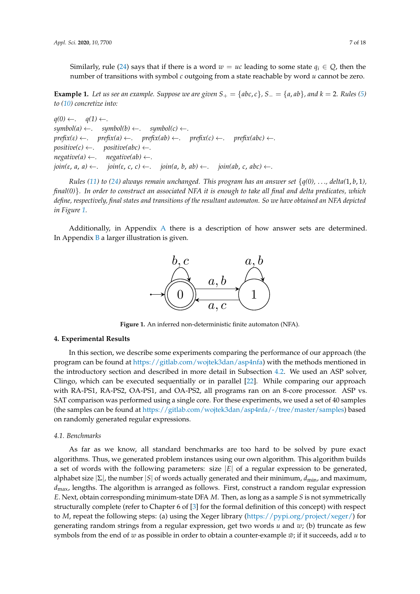Similarly, rule [\(24\)](#page-5-0) says that if there is a word  $w = uc$  leading to some state  $q_i \in Q$ , then the number of transitions with symbol *c* outgoing from a state reachable by word *u* cannot be zero.

<span id="page-6-2"></span>**Example 1.** Let us see an example. Suppose we are given  $S_+ = \{abc, c\}$ ,  $S_- = \{a, ab\}$ , and  $k = 2$ . Rules [\(5\)](#page-4-1) *to [\(10\)](#page-4-5) concretize into:*

```
q(0) \leftarrow. q(1) \leftarrow.
symbol(c) \leftarrow . \quad symbol(a) \leftarrow . \quad symbol(b) \leftarrow . \quad symbol(c) \leftarrow .\text{prefix}(ε) \leftarrow \text{.} \quad \text{prefix}(a) \leftarrow \text{.} \quad \text{prefix}(ab) \leftarrow \text{.} \quad \text{prefix}(c) \leftarrow \text{.} \quad \text{prefix}(abc) \leftarrow \text{.}positive(c) \leftarrow. positive(abc) \leftarrow.
negative(a) \leftarrow . \quad negative(ab) \leftarrow .\phijoin(ε, a, a) ← . join(ε, c, c) ← . join(a, b, ab) ← . join(ab, c, abc) ← .
```
*Rules* [\(11\)](#page-4-6) *to* [\(24\)](#page-5-0) always remain unchanged. This program has an answer set  $\{q(0), \ldots, \text{delta}(1, b, 1)\}$ *final(0)*}*. In order to construct an associated NFA it is enough to take all final and delta predicates, which define, respectively, final states and transitions of the resultant automaton. So we have obtained an NFA depicted in Figure [1.](#page-6-1)*

<span id="page-6-1"></span>Additionally, in Appendix [A](#page-12-1) there is a description of how answer sets are determined. In Appendix [B](#page-13-0) a larger illustration is given.



**Figure 1.** An inferred non-deterministic finite automaton (NFA).

## <span id="page-6-0"></span>**4. Experimental Results**

In this section, we describe some experiments comparing the performance of our approach (the program can be found at [https://gitlab.com/wojtek3dan/asp4nfa\)](https://gitlab.com/wojtek3dan/asp4nfa) with the methods mentioned in the introductory section and described in more detail in Subsection [4.2.](#page-8-0) We used an ASP solver, Clingo, which can be executed sequentially or in parallel [\[22\]](#page-17-2). While comparing our approach with RA-PS1, RA-PS2, OA-PS1, and OA-PS2, all programs ran on an 8-core processor. ASP vs. SAT comparison was performed using a single core. For these experiments, we used a set of 40 samples (the samples can be found at [https://gitlab.com/wojtek3dan/asp4nfa/-/tree/master/samples\)](https://gitlab.com/wojtek3dan/asp4nfa/-/tree/master/samples) based on randomly generated regular expressions.

## *4.1. Benchmarks*

As far as we know, all standard benchmarks are too hard to be solved by pure exact algorithms. Thus, we generated problem instances using our own algorithm. This algorithm builds a set of words with the following parameters: size  $|E|$  of a regular expression to be generated, alphabet size |Σ|, the number |*S*| of words actually generated and their minimum, *d*min, and maximum, *d*max, lengths. The algorithm is arranged as follows. First, construct a random regular expression *E*. Next, obtain corresponding minimum-state DFA *M*. Then, as long as a sample *S* is not symmetrically structurally complete (refer to Chapter 6 of [\[3\]](#page-16-16) for the formal definition of this concept) with respect to *M*, repeat the following steps: (a) using the Xeger library [\(https://pypi.org/project/xeger/\)](https://pypi.org/project/xeger/) for generating random strings from a regular expression, get two words *u* and *w*; (b) truncate as few symbols from the end of  $w$  as possible in order to obtain a counter-example  $\bar{w}$ ; if it succeeds, add  $u$  to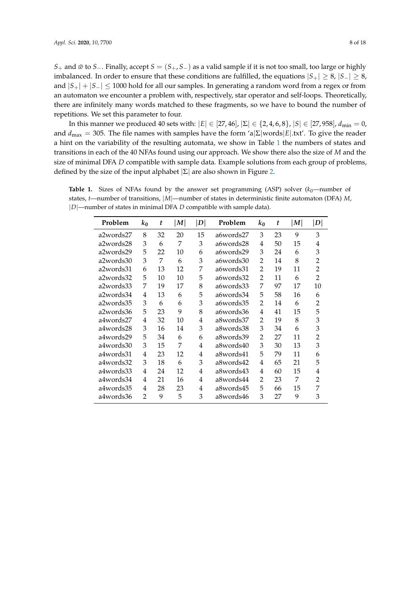*S*<sub>+</sub> and  $\bar{w}$  to *S*−. Finally, accept *S* = (*S*<sub>+</sub>, *S*−) as a valid sample if it is not too small, too large or highly imbalanced. In order to ensure that these conditions are fulfilled, the equations  $|S_+| \geq 8$ ,  $|S_-| \geq 8$ , and  $|S_+| + |S_-| \leq 1000$  hold for all our samples. In generating a random word from a regex or from an automaton we encounter a problem with, respectively, star operator and self-loops. Theoretically, there are infinitely many words matched to these fragments, so we have to bound the number of repetitions. We set this parameter to four.

In this manner we produced 40 sets with:  $|E| \in [27, 46]$ ,  $|\Sigma| \in \{2, 4, 6, 8\}$ ,  $|S| \in [27, 958]$ ,  $d_{\min} = 0$ , and  $d_{\text{max}} = 305$ . The file names with samples have the form 'a $|\Sigma|$ words $|E|$ .txt'. To give the reader a hint on the variability of the resulting automata, we show in Table [1](#page-7-0) the numbers of states and transitions in each of the 40 NFAs found using our approach. We show there also the size of *M* and the size of minimal DFA *D* compatible with sample data. Example solutions from each group of problems, defined by the size of the input alphabet  $|\Sigma|$  are also shown in Figure [2.](#page-8-1)

<span id="page-7-0"></span>**Table 1.** Sizes of NFAs found by the answer set programming (ASP) solver  $(k_0)$ —number of states, *t*—number of transitions, |*M*|—number of states in deterministic finite automaton (DFA) *M*, |*D*|—number of states in minimal DFA *D* compatible with sample data).

| Problem   | $k_0$          | t  | M  | $\vert D \vert$ | Problem   | $k_0$          | t  | M  | $\left\vert D\right\vert$ |
|-----------|----------------|----|----|-----------------|-----------|----------------|----|----|---------------------------|
| a2words27 | 8              | 32 | 20 | 15              | a6words27 | 3              | 23 | 9  | 3                         |
| a2words28 | 3              | 6  | 7  | 3               | a6words28 | 4              | 50 | 15 | 4                         |
| a2words29 | 5              | 22 | 10 | 6               | a6words29 | 3              | 24 | 6  | 3                         |
| a2words30 | 3              | 7  | 6  | 3               | a6words30 | $\overline{2}$ | 14 | 8  | $\overline{2}$            |
| a2words31 | 6              | 13 | 12 | 7               | a6words31 | $\overline{2}$ | 19 | 11 | $\overline{2}$            |
| a2words32 | 5              | 10 | 10 | 5               | a6words32 | $\overline{2}$ | 11 | 6  | $\overline{2}$            |
| a2words33 | 7              | 19 | 17 | 8               | a6words33 | 7              | 97 | 17 | 10                        |
| a2words34 | 4              | 13 | 6  | 5               | a6words34 | 5              | 58 | 16 | 6                         |
| a2words35 | 3              | 6  | 6  | 3               | a6words35 | $\overline{2}$ | 14 | 6  | $\overline{2}$            |
| a2words36 | 5              | 23 | 9  | 8               | a6words36 | 4              | 41 | 15 | 5                         |
| a4words27 | 4              | 32 | 10 | 4               | a8words37 | $\overline{2}$ | 19 | 8  | 3                         |
| a4words28 | 3              | 16 | 14 | 3               | a8words38 | 3              | 34 | 6  | 3                         |
| a4words29 | 5              | 34 | 6  | 6               | a8words39 | $\overline{2}$ | 27 | 11 | $\overline{2}$            |
| a4words30 | 3              | 15 | 7  | 4               | a8words40 | 3              | 30 | 13 | 3                         |
| a4words31 | 4              | 23 | 12 | 4               | a8words41 | 5              | 79 | 11 | 6                         |
| a4words32 | 3              | 18 | 6  | 3               | a8words42 | 4              | 65 | 21 | 5                         |
| a4words33 | 4              | 24 | 12 | 4               | a8words43 | 4              | 60 | 15 | 4                         |
| a4words34 | 4              | 21 | 16 | 4               | a8words44 | 2              | 23 | 7  | 2                         |
| a4words35 | 4              | 28 | 23 | 4               | a8words45 | 5              | 66 | 15 | 7                         |
| a4words36 | $\overline{2}$ | 9  | 5  | 3               | a8words46 | 3              | 27 | 9  | 3                         |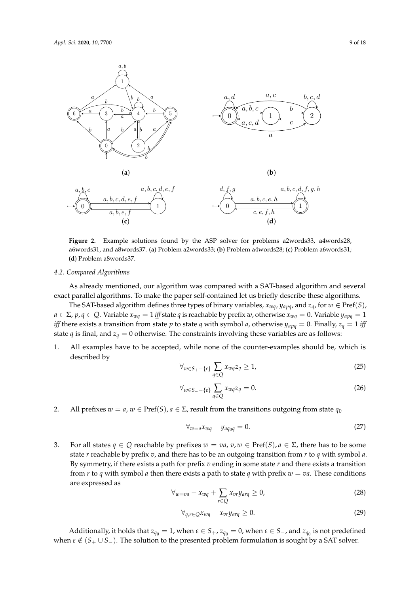<span id="page-8-1"></span>

**Figure 2.** Example solutions found by the ASP solver for problems a2words33, a4words28, a6words31, and a8words37. (**a**) Problem a2words33; (**b**) Problem a4words28; (**c**) Problem a6words31; (**d**) Problem a8words37.

#### <span id="page-8-0"></span>*4.2. Compared Algorithms*

As already mentioned, our algorithm was compared with a SAT-based algorithm and several exact parallel algorithms. To make the paper self-contained let us briefly describe these algorithms.

The SAT-based algorithm defines three types of binary variables,  $x_{wa}$ ,  $y_{a\mu q}$ , and  $z_q$ , for  $w \in \text{Pref}(S)$ ,  $a \in \Sigma$ ,  $p, q \in Q$ . Variable  $x_{wq} = 1$  *iff* state *q* is reachable by prefix *w*, otherwise  $x_{wq} = 0$ . Variable  $y_{apq} = 1$ *iff* there exists a transition from state *p* to state *q* with symbol *a*, otherwise  $y_{apq} = 0$ . Finally,  $z_q = 1$  *iff* state *q* is final, and  $z_q = 0$  otherwise. The constraints involving these variables are as follows:

1. All examples have to be accepted, while none of the counter-examples should be, which is described by

<span id="page-8-2"></span>
$$
\forall_{w \in S_+ - \{\varepsilon\}} \sum_{q \in Q} x_{wq} z_q \ge 1,\tag{25}
$$

$$
\forall_{w \in S_{-} - \{\varepsilon\}} \sum_{q \in Q} x_{wq} z_q = 0. \tag{26}
$$

2. All prefixes  $w = a$ ,  $w \in \text{Pref}(S)$ ,  $a \in \Sigma$ , result from the transitions outgoing from state  $q_0$ 

$$
\forall_{w=a} x_{wq} - y_{aq_0q} = 0. \tag{27}
$$

3. For all states  $q \in Q$  reachable by prefixes  $w = va$ ,  $v, w \in \text{Pref}(S)$ ,  $a \in \Sigma$ , there has to be some state *r* reachable by prefix *v*, and there has to be an outgoing transition from *r* to *q* with symbol *a*. By symmetry, if there exists a path for prefix *v* ending in some state *r* and there exists a transition from *r* to *q* with symbol *a* then there exists a path to state *q* with prefix  $w = va$ . These conditions are expressed as

$$
\forall_{w=va} - x_{wq} + \sum_{r \in Q} x_{vr} y_{arq} \ge 0,
$$
\n(28)

<span id="page-8-3"></span>
$$
\forall_{q,r \in Q} x_{wq} - x_{vr} y_{arq} \ge 0. \tag{29}
$$

Additionally, it holds that  $z_{q_0} = 1$ , when  $\varepsilon \in S_+$ ,  $z_{q_0} = 0$ , when  $\varepsilon \in S_-$ , and  $z_{q_0}$  is not predefined when  $\varepsilon \notin (S_+ \cup S_-)$ . The solution to the presented problem formulation is sought by a SAT solver.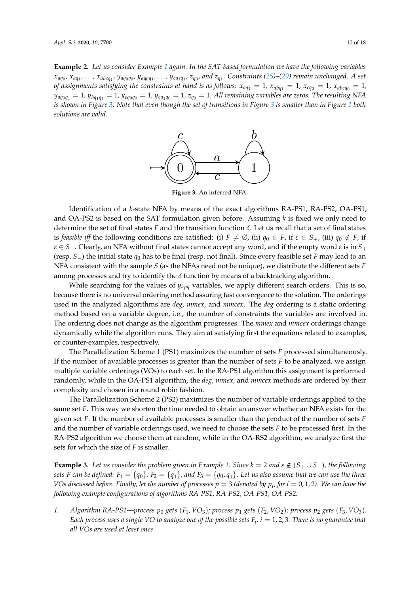<span id="page-9-0"></span>**Example 2.** *Let us consider Example [1](#page-6-2) again. In the SAT-based formulation we have the following variables*  $x_{aq_0}$ ,  $x_{aq_1}$ , ...,  $x_{abcq_1}$ ,  $y_{aq_0q_0}$ ,  $y_{aq_0q_1}$ , ...,  $y_{cq_1q_1}$ ,  $z_{q_0}$ , and  $z_{q_1}$ . Constraints [\(25\)](#page-8-2)–[\(29\)](#page-8-3) remain unchanged. A set *of assignments satisfying the constraints at hand is as follows:*  $x_{aq_1} = 1$ ,  $x_{abq_1} = 1$ ,  $x_{cq_0} = 1$ ,  $x_{abcq_0} = 1$ ,  $y_{aq_0q_1} = 1$ ,  $y_{bq_1q_1} = 1$ ,  $y_{cq_0q_0} = 1$ ,  $y_{cq_1q_0} = 1$ ,  $z_{q_0} = 1$ . All remaining variables are zeros. The resulting NFA *is shown in Figure [3.](#page-9-0) Note that even though the set of transitions in Figure [3](#page-9-0) is smaller than in Figure [1](#page-6-1) both solutions are valid.*



**Figure 3.** An inferred NFA.

Identification of a *k*-state NFA by means of the exact algorithms RA-PS1, RA-PS2, OA-PS1, and OA-PS2 is based on the SAT formulation given before. Assuming *k* is fixed we only need to determine the set of final states *F* and the transition function *δ*. Let us recall that a set of final states is *feasible iff* the following conditions are satisfied: (i)  $F \neq \emptyset$ , (ii)  $q_0 \in F$ , if  $\varepsilon \in S_+$ , (iii)  $q_0 \notin F$ , if *ε* ∈ *S*−. Clearly, an NFA without final states cannot accept any word, and if the empty word *ε* is in *S*<sup>+</sup> (resp. *S*−) the initial state *q*<sup>0</sup> has to be final (resp. not final). Since every feasible set *F* may lead to an NFA consistent with the sample *S* (as the NFAs need not be unique), we distribute the different sets *F* among processes and try to identify the  $\delta$  function by means of a backtracking algorithm.

While searching for the values of *yapq* variables, we apply different search orders. This is so, because there is no universal ordering method assuring fast convergence to the solution. The orderings used in the analyzed algorithms are *deg*, *mmex*, and *mmcex*. The *deg* ordering is a static ordering method based on a variable degree, i.e., the number of constraints the variables are involved in. The ordering does not change as the algorithm progresses. The *mmex* and *mmcex* orderings change dynamically while the algorithm runs. They aim at satisfying first the equations related to examples, or counter-examples, respectively.

The Parallelization Scheme 1 (PS1) maximizes the number of sets *F* processed simultaneously. If the number of available processes is greater than the number of sets *F* to be analyzed, we assign multiple variable orderings (VOs) to each set. In the RA-PS1 algorithm this assignment is performed randomly, while in the OA-PS1 algorithm, the *deg*, *mmex*, and *mmcex* methods are ordered by their complexity and chosen in a round robin fashion.

The Parallelization Scheme 2 (PS2) maximizes the number of variable orderings applied to the same set *F*. This way we shorten the time needed to obtain an answer whether an NFA exists for the given set *F*. If the number of available processes is smaller than the product of the number of sets *F* and the number of variable orderings used, we need to choose the sets *F* to be processed first. In the RA-PS2 algorithm we choose them at random, while in the OA-RS2 algorithm, we analyze first the sets for which the size of *F* is smaller.

**Example 3.** Let us consider the problem given in Example [1.](#page-6-2) Since  $k = 2$  and  $\varepsilon \notin (S_+ \cup S_-)$ , the following *sets F can be defined:*  $F_1 = \{q_0\}$ *,*  $F_2 = \{q_1\}$ *, and*  $F_3 = \{q_0, q_1\}$ *. Let us also assume that we can use the three*  $V$ Os discussed before. Finally, let the number of processes  $p=3$  (denoted by  $p_i$ , for  $i=0,1,2$ ). We can have the *following example configurations of algorithms RA-PS1, RA-PS2, OA-PS1, OA-PS2:*

*1. Algorithm RA-PS1—process p*<sup>0</sup> *gets* (*F*1, *VO*3)*; process p*<sup>1</sup> *gets* (*F*2, *VO*2)*; process p*<sup>2</sup> *gets* (*F*3, *VO*3)*. Each process uses a single VO to analyze one of the possible sets*  $F_i$ *,*  $i=1,2,3$ *. There is no guarantee that all VOs are used at least once.*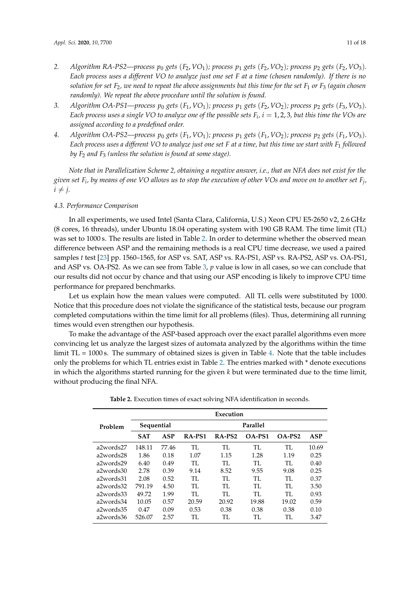- *2. Algorithm RA-PS2—process p*<sup>0</sup> *gets* (*F*2, *VO*1)*; process p*<sup>1</sup> *gets* (*F*2, *VO*2)*; process p*<sup>2</sup> *gets* (*F*2, *VO*3)*. Each process uses a different VO to analyze just one set F at a time (chosen randomly). If there is no solution for set F*2*, we need to repeat the above assignments but this time for the set F*<sup>1</sup> *or F*<sup>3</sup> *(again chosen randomly). We repeat the above procedure until the solution is found.*
- 3. *Algorithm OA-PS1—process*  $p_0$  *gets*  $(F_1, VO_1)$ *; process*  $p_1$  *gets*  $(F_2, VO_2)$ *; process*  $p_2$  *gets*  $(F_3, VO_3)$ *. Each process uses a single VO to analyze one of the possible sets*  $F_i$ *,*  $i=1,2,3$ *, but this time the VOs are assigned according to a predefined order.*
- *4. Algorithm OA-PS2—process p*<sup>0</sup> *gets* (*F*1, *VO*1)*; process p*<sup>1</sup> *gets* (*F*1, *VO*2)*; process p*<sup>2</sup> *gets* (*F*1, *VO*3)*. Each process uses a different VO to analyze just one set F at a time, but this time we start with F*<sup>1</sup> *followed by F*<sup>2</sup> *and F*<sup>3</sup> *(unless the solution is found at some stage).*

*Note that in Parallelization Scheme 2, obtaining a negative answer, i.e., that an NFA does not exist for the given set F<sup>i</sup> , by means of one VO allows us to stop the execution of other VOs and move on to another set F<sup>j</sup> ,*  $i \neq j$ .

## *4.3. Performance Comparison*

In all experiments, we used Intel (Santa Clara, California, U.S.) Xeon CPU E5-2650 v2, 2.6 GHz (8 cores, 16 threads), under Ubuntu 18.04 operating system with 190 GB RAM. The time limit (TL) was set to 1000 s. The results are listed in Table [2.](#page-11-0) In order to determine whether the observed mean difference between ASP and the remaining methods is a real CPU time decrease, we used a paired samples *t* test [\[23\]](#page-17-3) pp. 1560–1565, for ASP vs. SAT, ASP vs. RA-PS1, ASP vs. RA-PS2, ASP vs. OA-PS1, and ASP vs. OA-PS2. As we can see from Table [3,](#page-11-1) *p* value is low in all cases, so we can conclude that our results did not occur by chance and that using our ASP encoding is likely to improve CPU time performance for prepared benchmarks.

Let us explain how the mean values were computed. All TL cells were substituted by 1000. Notice that this procedure does not violate the significance of the statistical tests, because our program completed computations within the time limit for all problems (files). Thus, determining all running times would even strengthen our hypothesis.

To make the advantage of the ASP-based approach over the exact parallel algorithms even more convincing let us analyze the largest sizes of automata analyzed by the algorithms within the time limit  $TL = 1000$  s. The summary of obtained sizes is given in Table [4.](#page-12-2) Note that the table includes only the problems for which TL entries exist in Table [2.](#page-11-0) The entries marked with \* denote executions in which the algorithms started running for the given *k* but were terminated due to the time limit, without producing the final NFA.

|           | Execution  |       |        |                    |        |          |       |  |
|-----------|------------|-------|--------|--------------------|--------|----------|-------|--|
| Problem   | Sequential |       |        | Parallel           |        |          |       |  |
|           | <b>SAT</b> | ASP   | RA-PS1 | RA-PS <sub>2</sub> | OA-PS1 | $OA-PS2$ | ASP   |  |
| a2words27 | 148.11     | 77.46 | TI.    | TI.                | TI.    | TI.      | 10.69 |  |
| a2words28 | 1.86       | 0.18  | 1.07   | 1.15               | 1.28   | 1.19     | 0.25  |  |
| a2words29 | 6.40       | 0.49  | TI.    | TI.                | TL.    | TI.      | 0.40  |  |
| a2words30 | 2.78       | 0.39  | 9.14   | 8.52               | 9.55   | 9.08     | 0.25  |  |
| a2words31 | 2.08       | 0.52  | TI.    | TI.                | TL.    | TL       | 0.37  |  |
| a2words32 | 791.19     | 4.50  | TI.    | TI.                | TI.    | TI.      | 3.50  |  |
| a2words33 | 49.72      | 1.99  | TI.    | TI.                | TI.    | TI.      | 0.93  |  |
| a2words34 | 10.05      | 0.57  | 20.59  | 20.92              | 19.88  | 19.02    | 0.59  |  |
| a2words35 | 0.47       | 0.09  | 0.53   | 0.38               | 0.38   | 0.38     | 0.10  |  |
| a2words36 | 526.07     | 2.57  | TI.    | TI.                | TI.    | TI.      | 3.47  |  |

**Table 2.** Execution times of exact solving NFA identification in seconds.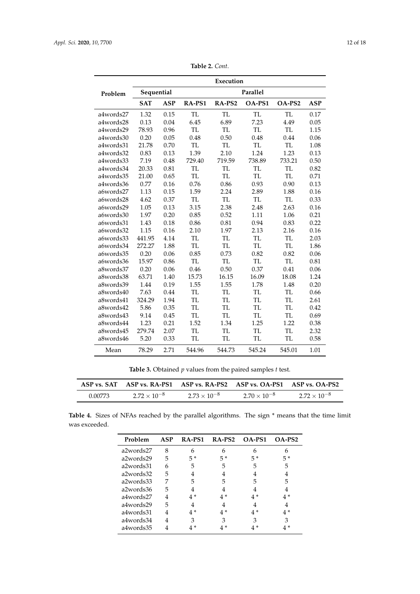<span id="page-11-0"></span>

|           | Execution  |            |           |           |           |           |            |
|-----------|------------|------------|-----------|-----------|-----------|-----------|------------|
| Problem   | Sequential |            |           |           |           |           |            |
|           | <b>SAT</b> | <b>ASP</b> | RA-PS1    | RA-PS2    | OA-PS1    | OA-PS2    | <b>ASP</b> |
| a4words27 | 1.32       | 0.15       | <b>TL</b> | <b>TL</b> | <b>TL</b> | TL        | 0.17       |
| a4words28 | 0.13       | 0.04       | 6.45      | 6.89      | 7.23      | 4.49      | 0.05       |
| a4words29 | 78.93      | 0.96       | <b>TL</b> | <b>TL</b> | <b>TL</b> | <b>TL</b> | 1.15       |
| a4words30 | 0.20       | 0.05       | 0.48      | 0.50      | 0.48      | 0.44      | 0.06       |
| a4words31 | 21.78      | 0.70       | <b>TL</b> | <b>TL</b> | TL        | <b>TL</b> | 1.08       |
| a4words32 | 0.83       | 0.13       | 1.39      | 2.10      | 1.24      | 1.23      | 0.13       |
| a4words33 | 7.19       | 0.48       | 729.40    | 719.59    | 738.89    | 733.21    | 0.50       |
| a4words34 | 20.33      | 0.81       | <b>TL</b> | <b>TL</b> | <b>TL</b> | <b>TL</b> | 0.82       |
| a4words35 | 21.00      | 0.65       | <b>TL</b> | <b>TL</b> | <b>TL</b> | <b>TL</b> | 0.71       |
| a4words36 | 0.77       | 0.16       | 0.76      | 0.86      | 0.93      | 0.90      | 0.13       |
| a6words27 | 1.13       | 0.15       | 1.59      | 2.24      | 2.89      | 1.88      | 0.16       |
| a6words28 | 4.62       | 0.37       | TL        | <b>TL</b> | TL        | TL        | 0.33       |
| a6words29 | 1.05       | 0.13       | 3.15      | 2.38      | 2.48      | 2.63      | 0.16       |
| a6words30 | 1.97       | 0.20       | 0.85      | 0.52      | 1.11      | 1.06      | 0.21       |
| a6words31 | 1.43       | 0.18       | 0.86      | 0.81      | 0.94      | 0.83      | 0.22       |
| a6words32 | 1.15       | 0.16       | 2.10      | 1.97      | 2.13      | 2.16      | 0.16       |
| a6words33 | 441.95     | 4.14       | <b>TL</b> | TL        | <b>TL</b> | TL        | 2.03       |
| a6words34 | 272.27     | 1.88       | <b>TL</b> | <b>TL</b> | <b>TL</b> | TL        | 1.86       |
| a6words35 | 0.20       | 0.06       | 0.85      | 0.73      | 0.82      | 0.82      | 0.06       |
| a6words36 | 15.97      | 0.86       | <b>TL</b> | TL        | <b>TL</b> | <b>TL</b> | 0.81       |
| a8words37 | 0.20       | 0.06       | 0.46      | 0.50      | 0.37      | 0.41      | 0.06       |
| a8words38 | 63.71      | 1.40       | 15.73     | 16.15     | 16.09     | 18.08     | 1.24       |
| a8words39 | 1.44       | 0.19       | 1.55      | 1.55      | 1.78      | 1.48      | 0.20       |
| a8words40 | 7.63       | 0.44       | TL        | TL        | TL        | TL        | 0.66       |
| a8words41 | 324.29     | 1.94       | <b>TL</b> | <b>TL</b> | <b>TL</b> | <b>TL</b> | 2.61       |
| a8words42 | 5.86       | 0.35       | <b>TL</b> | TL        | <b>TL</b> | <b>TL</b> | 0.42       |
| a8words43 | 9.14       | 0.45       | <b>TL</b> | <b>TL</b> | <b>TL</b> | <b>TL</b> | 0.69       |
| a8words44 | 1.23       | 0.21       | 1.52      | 1.34      | 1.25      | 1.22      | 0.38       |
| a8words45 | 279.74     | 2.07       | <b>TL</b> | TL        | <b>TL</b> | <b>TL</b> | 2.32       |
| a8words46 | 5.20       | 0.33       | TL        | TL        | TL        | TL        | 0.58       |
| Mean      | 78.29      | 2.71       | 544.96    | 544.73    | 545.24    | 545.01    | 1.01       |

**Table 2.** *Cont*.

**Table 3.** Obtained *p* values from the paired samples *t* test.

<span id="page-11-1"></span>

| ASP vs. SAT |                       |                       | ASP vs. RA-PS1 ASP vs. RA-PS2 ASP vs. OA-PS1 ASP vs. OA-PS2 |                       |
|-------------|-----------------------|-----------------------|-------------------------------------------------------------|-----------------------|
| 0.00773     | $2.72 \times 10^{-8}$ | $2.73 \times 10^{-8}$ | $2.70 \times 10^{-8}$                                       | $2.72 \times 10^{-8}$ |

**Table 4.** Sizes of NFAs reached by the parallel algorithms. The sign \* means that the time limit was exceeded.

| Problem   | ASP | RA-PS1 | RA-PS2 | $OA-PS1$ | $OA-PS2$ |
|-----------|-----|--------|--------|----------|----------|
| a2words27 | 8   | 6      |        | 6        |          |
| a2words29 | 5   | $5*$   | $5*$   | $5*$     | $5*$     |
| a2words31 | 6   | 5      | 5      | 5        | 5        |
| a2words32 | 5   |        |        |          |          |
| a2words33 | 7   | 5      | 5      | 5        | 5        |
| a2words36 | 5   |        |        |          |          |
| a4words27 | 4   | 4 *    | 4*     | $4*$     | 4 *      |
| a4words29 | 5   |        |        |          |          |
| a4words31 | 4   | 4 *    | 4*     | 4 *      | $4*$     |
| a4words34 | 4   | 3      | 3      | 3        | 3        |
| a4words35 |     |        |        |          |          |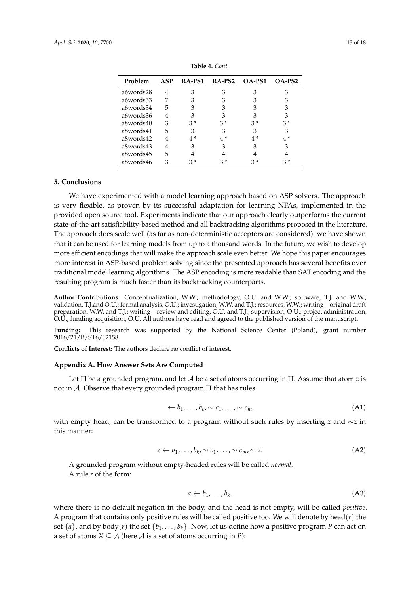<span id="page-12-2"></span>

| Problem   | ASP | RA-PS1 | RA-PS2 | $OA-PS1$ | $OA-PS2$ |
|-----------|-----|--------|--------|----------|----------|
| a6words28 |     | 3      | З      | З        |          |
| a6words33 |     | З      | З      |          |          |
| a6words34 | 5   | 3      | 3      | З        | 3        |
| a6words36 | 4   | 3      |        |          | З        |
| a8words40 | 3   | 3*     | $3*$   | 3*       | $3*$     |
| a8words41 | 5   | 3      | З      |          | З        |
| a8words42 | 4   | $4*$   | 4*     | 4 *      | 4 *      |
| a8words43 | 4   | 3      | 3      | 3        | 3        |
| a8words45 | 5   |        |        |          |          |
| a8words46 | З   | $3*$   |        |          |          |

**Table 4.** *Cont*.

## <span id="page-12-0"></span>**5. Conclusions**

We have experimented with a model learning approach based on ASP solvers. The approach is very flexible, as proven by its successful adaptation for learning NFAs, implemented in the provided open source tool. Experiments indicate that our approach clearly outperforms the current state-of-the-art satisfiability-based method and all backtracking algorithms proposed in the literature. The approach does scale well (as far as non-deterministic acceptors are considered): we have shown that it can be used for learning models from up to a thousand words. In the future, we wish to develop more efficient encodings that will make the approach scale even better. We hope this paper encourages more interest in ASP-based problem solving since the presented approach has several benefits over traditional model learning algorithms. The ASP encoding is more readable than SAT encoding and the resulting program is much faster than its backtracking counterparts.

**Author Contributions:** Conceptualization, W.W.; methodology, O.U. and W.W.; software, T.J. and W.W.; validation, T.J.and O.U.; formal analysis, O.U.; investigation, W.W. and T.J.; resources, W.W.; writing—original draft preparation, W.W. and T.J.; writing—review and editing, O.U. and T.J.; supervision, O.U.; project administration, O.U.; funding acquisition, O.U. All authors have read and agreed to the published version of the manuscript.

**Funding:** This research was supported by the National Science Center (Poland), grant number 2016/21/B/ST6/02158.

**Conflicts of Interest:** The authors declare no conflict of interest.

## <span id="page-12-1"></span>**Appendix A. How Answer Sets Are Computed**

Let Π be a grounded program, and let A be a set of atoms occurring in Π. Assume that atom *z* is not in A. Observe that every grounded program Π that has rules

$$
\leftarrow b_1, \ldots, b_k, \sim c_1, \ldots, \sim c_m. \tag{A1}
$$

with empty head, can be transformed to a program without such rules by inserting *z* and ∼*z* in this manner:

$$
z \leftarrow b_1, \ldots, b_k \sim c_1, \ldots, \sim c_m \sim z. \tag{A2}
$$

A grounded program without empty-headed rules will be called *normal*. A rule *r* of the form:

$$
a \leftarrow b_1, \ldots, b_k. \tag{A3}
$$

where there is no default negation in the body, and the head is not empty, will be called *positive*. A program that contains only positive rules will be called positive too. We will denote by head $(r)$  the set  $\{a\}$ , and by body(*r*) the set  $\{b_1, \ldots, b_k\}$ . Now, let us define how a positive program *P* can act on a set of atoms  $X \subseteq A$  (here A is a set of atoms occurring in *P*):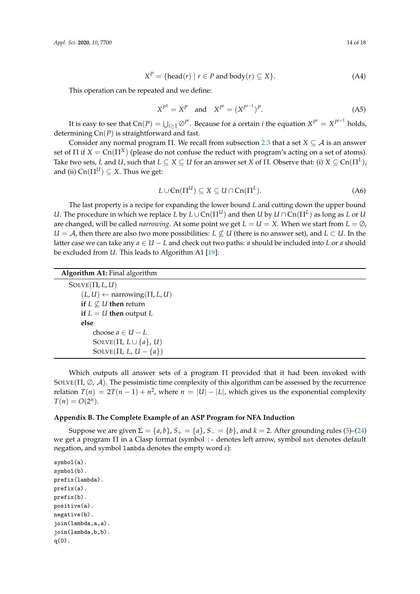$$
XP = \{head(r) \mid r \in P \text{ and } body(r) \subseteq X\}. \tag{A4}
$$

This operation can be repeated and we define:

$$
X^{P^1} = X^P \quad \text{and} \quad X^{P^i} = (X^{P^{i-1}})^P. \tag{A5}
$$

It is easy to see that  $Cn(P) = \bigcup_{i \geq 1} \emptyset^{P^i}$ . Because for a certain *i* the equation  $X^{P^i} = X^{P^{i+1}}$  holds, determining Cn(*P*) is straightforward and fast.

Consider any normal program Π. We recall from subsection [2.3](#page-2-1) that a set  $X \subseteq A$  is an answer set of  $\Pi$  if  $X = \text{Cn}(\Pi^X)$  (please do not confuse the reduct with program's acting on a set of atoms). Take two sets,  $L$  and  $U$ , such that  $L\subseteq X\subseteq U$  for an answer set  $X$  of  $\Pi.$  Observe that: (i)  $X\subseteq \text{Cn}(\Pi^L)$ , and (ii)  $Cn(\Pi^U) \subseteq X$ . Thus we get:

$$
L \cup \text{Cn}(\Pi^U) \subseteq X \subseteq U \cap \text{Cn}(\Pi^L). \tag{A6}
$$

The last property is a recipe for expanding the lower bound *L* and cutting down the upper bound *U*. The procedure in which we replace *L* by  $L \cup Cn(\Pi^U)$  and then *U* by  $U \cap Cn(\Pi^L)$  as long as *L* or *U* are changed, will be called *narrowing*. At some point we get  $L = U = X$ . When we start from  $L = \emptyset$ , *U* = *A*, then there are also two more possibilities: *L*  $\nsubseteq$  *U* (there is no answer set), and *L* ⊂ *U*. In the latter case we can take any  $a \in U - L$  and check out two paths: *a* should be included into *L* or *a* should be excluded from *U*. This leads to Algorithm A1 [\[19\]](#page-16-15):

**Algorithm A1:** Final algorithm

 $SOLVE(\Pi, L, U)$  $(L, U) \leftarrow$  narrowing( $\Pi, L, U$ ) **if**  $L \nsubseteq U$  **then** return **if**  $L = U$  **then** output  $L$ **else** choose  $a \in U - L$  $SOLVE(\Pi, L \cup \{a\}, U)$  $SOLVE(\Pi, L, U - \{a\})$ 

Which outputs all answer sets of a program  $\Pi$  provided that it had been invoked with SOLVE( $\Pi$ ,  $\varnothing$ ,  $\varnothing$ ). The pessimistic time complexity of this algorithm can be assessed by the recurrence relation  $T(n) = 2T(n-1) + n^2$ , where  $n = |U| - |L|$ , which gives us the exponential complexity  $T(n) = O(2^n).$ 

## <span id="page-13-0"></span>**Appendix B. The Complete Example of an ASP Program for NFA Induction**

Suppose we are given  $\Sigma = \{a, b\}$ ,  $S_+ = \{a\}$ ,  $S_- = \{b\}$ , and  $k = 2$ . After grounding rules [\(5\)](#page-4-1)–[\(24\)](#page-5-0) we get a program Π in a Clasp format (symbol :- denotes left arrow, symbol not denotes default negation, and symbol lambda denotes the empty word *ε*):

```
symbol(a).
symbol(b).
prefix(lambda).
prefix(a).
prefix(b).
positive(a).
negative(b).
join(lambda,a,a).
join(lambda,b,b).
q(0).
```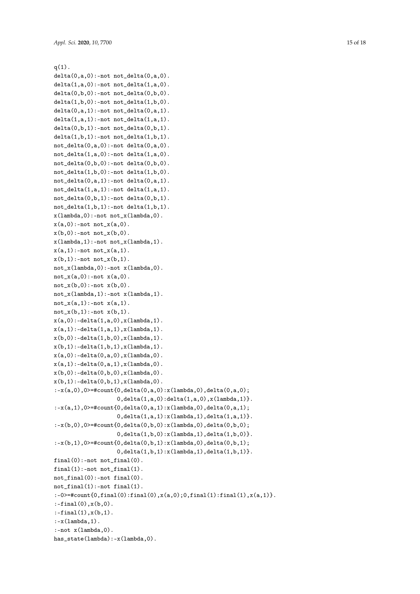```
q(1).
delta(0,a,0):-not not_delta(0,a,0).
delta(1,a,0):-not not_delta(1,a,0).
delta(0,b,0):-not not_delta(0,b,0).
delta(1,b,0):-not not_delta(1,b,0).
delta(0, a, 1):-not not_delta(0, a, 1).
delta(1,a,1):-not not_delta(1,a,1).
delta(0,b,1):-not not_delta(0,b,1).
delta(1,b,1):-not not_delta(1,b,1).
not<sup>delta(0,a,0):-not delta(0,a,0).</sup>
not<sup>delta(1,a,0):-not delta(1,a,0).</sup>
not\_delta(0,b,0):-not delta(0,b,0).
not<sup>delta(1,b,0):-not delta(1,b,0).</sup>
not<sup>delta(0,a,1):-not delta(0,a,1).</sup>
not
det<sup>2</sup>det<sub>1</sub>(1, a, 1):
-not
det<sub>1</sub>(1, a, 1).
not delta(0,b,1):-not delta(0,b,1).
not
det<sup>1</sup>(1,b,1):
-not
det<sup>1</sup>(1,b,1).
x(\text{lambda},0):-not not_x(\text{lambda},0).
x(a,0):-not not_x(a,0).
x(b,0):-not not_x(b,0).
x(\text{lambda},1):-not not_x(\text{lambda},1).
x(a,1):-not not_x(a,1).
x(b,1):-not not_x(b,1).
not_x(lambda,0):-not x(lambda,0).
not_x(a,0):-not x(a,0).
not_x(b,0):-not x(b,0).
not_x(lambda,1):-not x(lambda,1).
not_x(a,1):-not x(a,1).
not_x(b,1):-not x(b,1).
x(a,0):-delta(1,a,0), x(1ambda, 1).
x(a,1):-delta(1,a,1), x(1ambda, 1).
x(b,0):-delta(1,b,0), x(1ambda, 1).
x(b,1):-delta(1,b,1), x(lambda,1).
x(a,0):-delta(0,a,0), x(1ambda, 0).
x(a,1):-delta(0,a,1), x(1ambda, 0).
x(b,0):-delta(0,b,0), x(1ambda, 0).
x(b,1):-delta(0,b,1), x(1ambda, 0).
:-x(a,0),0 =#count\{0, delta(0, a, 0):x(lambda,0), delta(0, a, 0);0, delta(1, a, 0) : delta(1, a, 0), x(lambda, 1).
:-x(a,1), 0>=#count\{0, delta(0, a, 1) : x(lambda, 0), delta(0, a, 1);
                     0, delta(1, a, 1): x(lambda, 1), delta(1, a, 1)\}.:-x(b,0),0<sup>=#count{0,delta(0,b,0):x(lambda,0),delta(0,b,0);</sup>
                     0, delta(1, b, 0): x(lambda, 1), delta(1, b, 0)\}.:-x(b,1),0>=#count{0,delta(0,b,1):x(lambda,0),delta(0,b,1);
                     0, delta(1, b, 1): x(lambda, 1), delta(1, b, 1).
final(0):-not not_final(0).
final(1):-not not_final(1).
not_final(0):-not final(0).
not\_final(1):-not final(1).
:-0>=#count\{0, \text{final}(0): \text{final}(0), x(a,0); 0, \text{final}(1): \text{final}(1), x(a,1)\}.:-final(0), x(b,0).
: -final(1), x(b,1).: -x(1).
:-not x(lambda,0).
has_state(lambda):-x(lambda,0).
```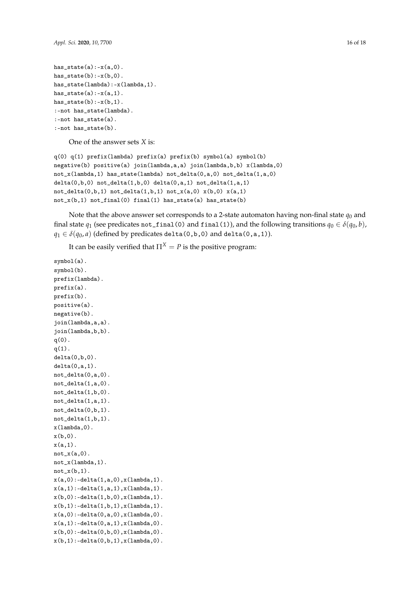```
has\_state(a):-x(a,0).
has\_state(b):-x(b,0).
has_state(lambda):-x(lambda,1).
has_state(a):-x(a,1).
has\_state(b):-x(b,1).
:-not has_state(lambda).
:-not has_state(a).
:-not has_state(b).
```
One of the answer sets *X* is:

```
q(0) q(1) prefix(lambda) prefix(a) prefix(b) symbol(a) symbol(b)
negative(b) positive(a) join(lambda,a,a) join(lambda,b,b) x(lambda,0)
not_x(lambda,1) has_state(lambda) not_delta(0,a,0) not_delta(1,a,0)
delta(0,b,0) not_delta(1,b,0) delta(0,a,1) not_delta(1,a,1)not\_delta(0,b,1) not\_delta(1,b,1) not_x(a,0) x(b,0) x(a,1)not_x(b,1) not_final(0) final(1) has_fstate(a) has_fstate(b)
```
Note that the above answer set corresponds to a 2-state automaton having non-final state  $q_0$  and final state  $q_1$  (see predicates not\_final(0) and final(1)), and the following transitions  $q_0 \in \delta(q_0, b)$ ,  $q_1 \in \delta(q_0, a)$  (defined by predicates delta(0,b,0) and delta(0,a,1)).

It can be easily verified that  $\Pi^X = P$  is the positive program:

```
symbol(a).
symbol(b).
prefix(lambda).
prefix(a).
prefix(b).
positive(a).
negative(b).
join(lambda,a,a).
join(lambda,b,b).
q(0).
q(1).
delta(0,b,0).
delta(0, a, 1).
not_delta(0,a,0).
not_delta(1,a,0).
not_delta(1,b,0).
not_delta(1,a,1).
not_delta(0,b,1).
not_delta(1,b,1).
x(lambda,0).
x(b,0).
x(a,1).
not_x(a,0).
not_x(lambda,1).
not_x(b,1).
x(a,0):-delta(1,a,0), x(1ambda, 1).
x(a,1):-delta(1,a,1), x(1ambda, 1).
x(b,0):-delta(1,b,0),x(1ambda,1).
x(b,1):-delta(1,b,1), x(lambda,1).
x(a,0):-delta(0,a,0), x(1ambda, 0).
x(a,1):-delta(0,a,1), x(1ambda, 0).
x(b,0):-delta(0,b,0), x(1ambda, 0).
x(b,1):-delta(0,b,1), x(1ambda, 0).
```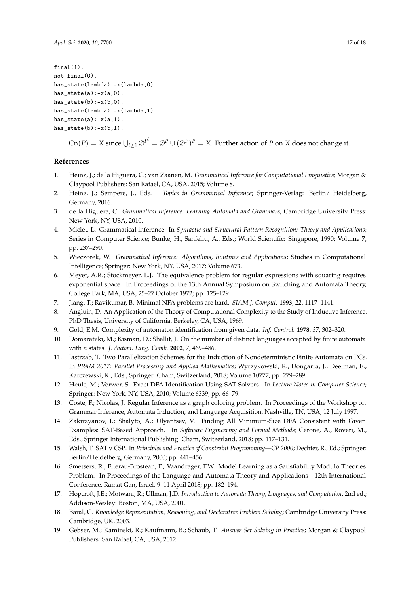```
final(1).
not_final(0).
has_state(lambda):-x(lambda,0).
has\_state(a):-x(a,0).
has\_state(b):-x(b,0).
has_state(lambda):-x(lambda,1).
has\_state(a):-x(a,1).
has\_state(b):-x(b,1).
```
 $\text{Cn}(P) = X$  since  $\bigcup_{i \geq 1} \emptyset^{P^i} = \emptyset^P \cup (\emptyset^P)^P = X$ . Further action of *P* on *X* does not change it.

## **References**

- <span id="page-16-0"></span>1. Heinz, J.; de la Higuera, C.; van Zaanen, M. *Grammatical Inference for Computational Linguistics*; Morgan & Claypool Publishers: San Rafael, CA, USA, 2015; Volume 8.
- 2. Heinz, J.; Sempere, J., Eds. *Topics in Grammatical Inference*; Springer-Verlag: Berlin/ Heidelberg, Germany, 2016.
- <span id="page-16-16"></span>3. de la Higuera, C. *Grammatical Inference: Learning Automata and Grammars*; Cambridge University Press: New York, NY, USA, 2010.
- 4. Miclet, L. Grammatical inference. In *Syntactic and Structural Pattern Recognition: Theory and Applications*; Series in Computer Science; Bunke, H., Sanfeliu, A., Eds.; World Scientific: Singapore, 1990; Volume 7, pp. 237–290.
- <span id="page-16-1"></span>5. Wieczorek, W. *Grammatical Inference: Algorithms, Routines and Applications*; Studies in Computational Intelligence; Springer: New York, NY, USA, 2017; Volume 673.
- <span id="page-16-2"></span>6. Meyer, A.R.; Stockmeyer, L.J. The equivalence problem for regular expressions with squaring requires exponential space. In Proceedings of the 13th Annual Symposium on Switching and Automata Theory, College Park, MA, USA, 25–27 October 1972; pp. 125–129.
- <span id="page-16-3"></span>7. Jiang, T.; Ravikumar, B. Minimal NFA problems are hard. *SIAM J. Comput.* **1993**, *22*, 1117–1141.
- <span id="page-16-4"></span>8. Angluin, D. An Application of the Theory of Computational Complexity to the Study of Inductive Inference. PhD Thesis, University of California, Berkeley, CA, USA, 1969.
- <span id="page-16-5"></span>9. Gold, E.M. Complexity of automaton identification from given data. *Inf. Control.* **1978**, *37*, 302–320.
- <span id="page-16-6"></span>10. Domaratzki, M.; Kisman, D.; Shallit, J. On the number of distinct languages accepted by finite automata with *n* states. *J. Autom. Lang. Comb.* **2002**, *7*, 469–486.
- <span id="page-16-7"></span>11. Jastrzab, T. Two Parallelization Schemes for the Induction of Nondeterministic Finite Automata on PCs. In *PPAM 2017: Parallel Processing and Applied Mathematics*; Wyrzykowski, R., Dongarra, J., Deelman, E., Karczewski, K., Eds.; Springer: Cham, Switzerland, 2018; Volume 10777, pp. 279–289.
- <span id="page-16-8"></span>12. Heule, M.; Verwer, S. Exact DFA Identification Using SAT Solvers. In *Lecture Notes in Computer Science*; Springer: New York, NY, USA, 2010; Volume 6339, pp. 66–79.
- <span id="page-16-9"></span>13. Coste, F.; Nicolas, J. Regular Inference as a graph coloring problem. In Proceedings of the Workshop on Grammar Inference, Automata Induction, and Language Acquisition, Nashville, TN, USA, 12 July 1997.
- <span id="page-16-10"></span>14. Zakirzyanov, I.; Shalyto, A.; Ulyantsev, V. Finding All Minimum-Size DFA Consistent with Given Examples: SAT-Based Approach. In *Software Engineering and Formal Methods*; Cerone, A., Roveri, M., Eds.; Springer International Publishing: Cham, Switzerland, 2018; pp. 117–131.
- <span id="page-16-11"></span>15. Walsh, T. SAT v CSP. In *Principles and Practice of Constraint Programming—CP 2000*; Dechter, R., Ed.; Springer: Berlin/Heidelberg, Germany, 2000; pp. 441–456.
- <span id="page-16-12"></span>16. Smetsers, R.; Fiterau-Brostean, P.; Vaandrager, F.W. Model Learning as a Satisfiability Modulo Theories Problem. In Proceedings of the Language and Automata Theory and Applications—12th International Conference, Ramat Gan, Israel, 9–11 April 2018; pp. 182–194.
- <span id="page-16-13"></span>17. Hopcroft, J.E.; Motwani, R.; Ullman, J.D. *Introduction to Automata Theory, Languages, and Computation*, 2nd ed.; Addison-Wesley: Boston, MA, USA, 2001.
- <span id="page-16-14"></span>18. Baral, C. *Knowledge Representation, Reasoning, and Declarative Problem Solving*; Cambridge University Press: Cambridge, UK, 2003.
- <span id="page-16-15"></span>19. Gebser, M.; Kaminski, R.; Kaufmann, B.; Schaub, T. *Answer Set Solving in Practice*; Morgan & Claypool Publishers: San Rafael, CA, USA, 2012.